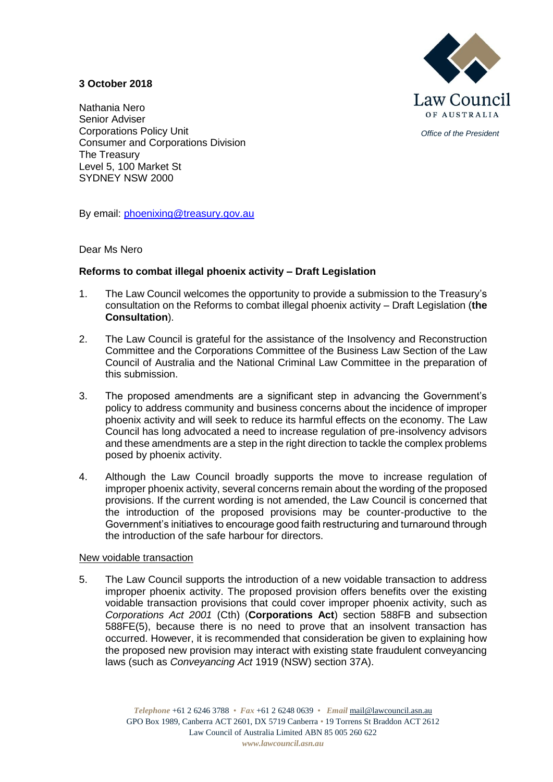

*Office of the President*

# **3 October 2018**

Nathania Nero Senior Adviser Corporations Policy Unit Consumer and Corporations Division The Treasury Level 5, 100 Market St SYDNEY NSW 2000

By email: [phoenixing@treasury.gov.au](mailto:phoenixing@treasury.gov.au)

## Dear Ms Nero

# **Reforms to combat illegal phoenix activity – Draft Legislation**

- 1. The Law Council welcomes the opportunity to provide a submission to the Treasury's consultation on the Reforms to combat illegal phoenix activity – Draft Legislation (**the Consultation**).
- 2. The Law Council is grateful for the assistance of the Insolvency and Reconstruction Committee and the Corporations Committee of the Business Law Section of the Law Council of Australia and the National Criminal Law Committee in the preparation of this submission.
- 3. The proposed amendments are a significant step in advancing the Government's policy to address community and business concerns about the incidence of improper phoenix activity and will seek to reduce its harmful effects on the economy. The Law Council has long advocated a need to increase regulation of pre-insolvency advisors and these amendments are a step in the right direction to tackle the complex problems posed by phoenix activity.
- 4. Although the Law Council broadly supports the move to increase regulation of improper phoenix activity, several concerns remain about the wording of the proposed provisions. If the current wording is not amended, the Law Council is concerned that the introduction of the proposed provisions may be counter-productive to the Government's initiatives to encourage good faith restructuring and turnaround through the introduction of the safe harbour for directors.

## New voidable transaction

5. The Law Council supports the introduction of a new voidable transaction to address improper phoenix activity. The proposed provision offers benefits over the existing voidable transaction provisions that could cover improper phoenix activity, such as *Corporations Act 2001* (Cth) (**Corporations Act**) section 588FB and subsection 588FE(5), because there is no need to prove that an insolvent transaction has occurred. However, it is recommended that consideration be given to explaining how the proposed new provision may interact with existing state fraudulent conveyancing laws (such as *Conveyancing Act* 1919 (NSW) section 37A).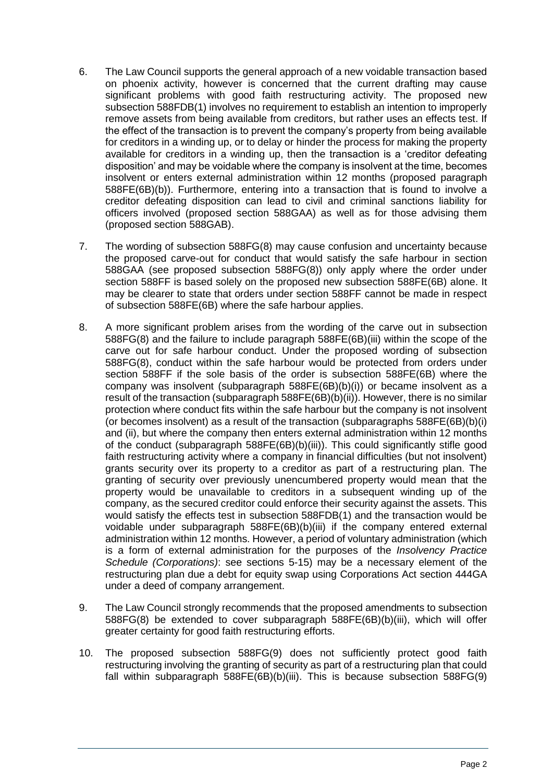- 6. The Law Council supports the general approach of a new voidable transaction based on phoenix activity, however is concerned that the current drafting may cause significant problems with good faith restructuring activity. The proposed new subsection 588FDB(1) involves no requirement to establish an intention to improperly remove assets from being available from creditors, but rather uses an effects test. If the effect of the transaction is to prevent the company's property from being available for creditors in a winding up, or to delay or hinder the process for making the property available for creditors in a winding up, then the transaction is a 'creditor defeating disposition' and may be voidable where the company is insolvent at the time, becomes insolvent or enters external administration within 12 months (proposed paragraph 588FE(6B)(b)). Furthermore, entering into a transaction that is found to involve a creditor defeating disposition can lead to civil and criminal sanctions liability for officers involved (proposed section 588GAA) as well as for those advising them (proposed section 588GAB).
- 7. The wording of subsection 588FG(8) may cause confusion and uncertainty because the proposed carve-out for conduct that would satisfy the safe harbour in section 588GAA (see proposed subsection 588FG(8)) only apply where the order under section 588FF is based solely on the proposed new subsection 588FE(6B) alone. It may be clearer to state that orders under section 588FF cannot be made in respect of subsection 588FE(6B) where the safe harbour applies.
- 8. A more significant problem arises from the wording of the carve out in subsection 588FG(8) and the failure to include paragraph 588FE(6B)(iii) within the scope of the carve out for safe harbour conduct. Under the proposed wording of subsection 588FG(8), conduct within the safe harbour would be protected from orders under section 588FF if the sole basis of the order is subsection 588FE(6B) where the company was insolvent (subparagraph 588FE(6B)(b)(i)) or became insolvent as a result of the transaction (subparagraph 588FE(6B)(b)(ii)). However, there is no similar protection where conduct fits within the safe harbour but the company is not insolvent (or becomes insolvent) as a result of the transaction (subparagraphs 588FE(6B)(b)(i) and (ii), but where the company then enters external administration within 12 months of the conduct (subparagraph 588FE(6B)(b)(iii)). This could significantly stifle good faith restructuring activity where a company in financial difficulties (but not insolvent) grants security over its property to a creditor as part of a restructuring plan. The granting of security over previously unencumbered property would mean that the property would be unavailable to creditors in a subsequent winding up of the company, as the secured creditor could enforce their security against the assets. This would satisfy the effects test in subsection 588FDB(1) and the transaction would be voidable under subparagraph 588FE(6B)(b)(iii) if the company entered external administration within 12 months. However, a period of voluntary administration (which is a form of external administration for the purposes of the *Insolvency Practice Schedule (Corporations)*: see sections 5-15) may be a necessary element of the restructuring plan due a debt for equity swap using Corporations Act section 444GA under a deed of company arrangement.
- 9. The Law Council strongly recommends that the proposed amendments to subsection 588FG(8) be extended to cover subparagraph 588FE(6B)(b)(iii), which will offer greater certainty for good faith restructuring efforts.
- 10. The proposed subsection 588FG(9) does not sufficiently protect good faith restructuring involving the granting of security as part of a restructuring plan that could fall within subparagraph 588FE(6B)(b)(iii). This is because subsection 588FG(9)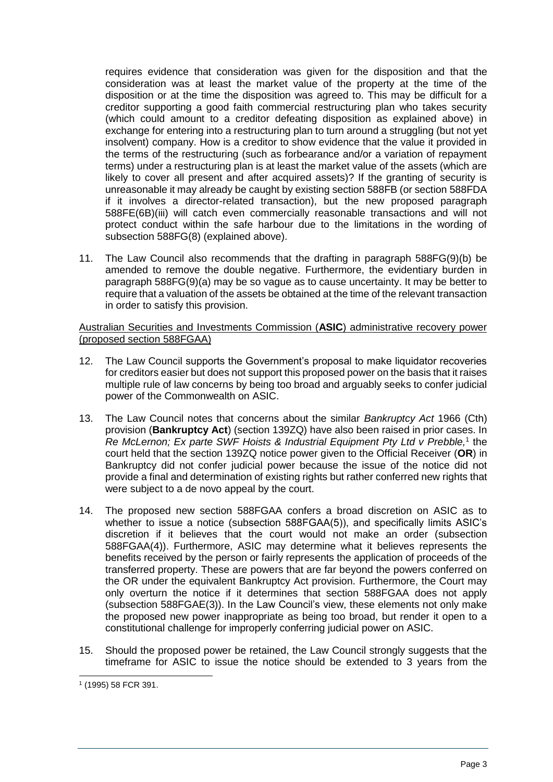requires evidence that consideration was given for the disposition and that the consideration was at least the market value of the property at the time of the disposition or at the time the disposition was agreed to. This may be difficult for a creditor supporting a good faith commercial restructuring plan who takes security (which could amount to a creditor defeating disposition as explained above) in exchange for entering into a restructuring plan to turn around a struggling (but not yet insolvent) company. How is a creditor to show evidence that the value it provided in the terms of the restructuring (such as forbearance and/or a variation of repayment terms) under a restructuring plan is at least the market value of the assets (which are likely to cover all present and after acquired assets)? If the granting of security is unreasonable it may already be caught by existing section 588FB (or section 588FDA if it involves a director-related transaction), but the new proposed paragraph 588FE(6B)(iii) will catch even commercially reasonable transactions and will not protect conduct within the safe harbour due to the limitations in the wording of subsection 588FG(8) (explained above).

11. The Law Council also recommends that the drafting in paragraph 588FG(9)(b) be amended to remove the double negative. Furthermore, the evidentiary burden in paragraph 588FG(9)(a) may be so vague as to cause uncertainty. It may be better to require that a valuation of the assets be obtained at the time of the relevant transaction in order to satisfy this provision.

### Australian Securities and Investments Commission (**ASIC**) administrative recovery power (proposed section 588FGAA)

- 12. The Law Council supports the Government's proposal to make liquidator recoveries for creditors easier but does not support this proposed power on the basis that it raises multiple rule of law concerns by being too broad and arguably seeks to confer judicial power of the Commonwealth on ASIC.
- 13. The Law Council notes that concerns about the similar *Bankruptcy Act* 1966 (Cth) provision (**Bankruptcy Act**) (section 139ZQ) have also been raised in prior cases. In Re McLernon; Ex parte SWF Hoists & Industrial Equipment Pty Ltd v Prebble,<sup>1</sup> the court held that the section 139ZQ notice power given to the Official Receiver (**OR**) in Bankruptcy did not confer judicial power because the issue of the notice did not provide a final and determination of existing rights but rather conferred new rights that were subject to a de novo appeal by the court.
- 14. The proposed new section 588FGAA confers a broad discretion on ASIC as to whether to issue a notice (subsection 588FGAA(5)), and specifically limits ASIC's discretion if it believes that the court would not make an order (subsection 588FGAA(4)). Furthermore, ASIC may determine what it believes represents the benefits received by the person or fairly represents the application of proceeds of the transferred property. These are powers that are far beyond the powers conferred on the OR under the equivalent Bankruptcy Act provision. Furthermore, the Court may only overturn the notice if it determines that section 588FGAA does not apply (subsection 588FGAE(3)). In the Law Council's view, these elements not only make the proposed new power inappropriate as being too broad, but render it open to a constitutional challenge for improperly conferring judicial power on ASIC.
- 15. Should the proposed power be retained, the Law Council strongly suggests that the timeframe for ASIC to issue the notice should be extended to 3 years from the

<sup>-</sup>1 (1995) 58 FCR 391.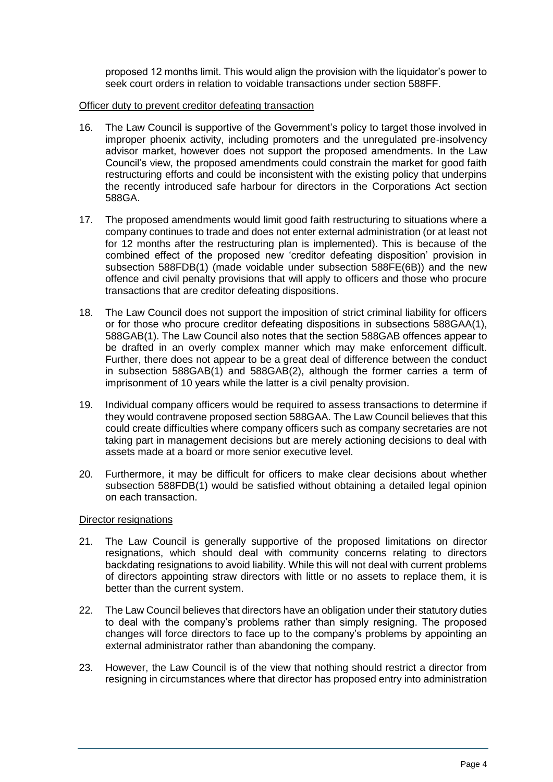proposed 12 months limit. This would align the provision with the liquidator's power to seek court orders in relation to voidable transactions under section 588FF.

### Officer duty to prevent creditor defeating transaction

- 16. The Law Council is supportive of the Government's policy to target those involved in improper phoenix activity, including promoters and the unregulated pre-insolvency advisor market, however does not support the proposed amendments. In the Law Council's view, the proposed amendments could constrain the market for good faith restructuring efforts and could be inconsistent with the existing policy that underpins the recently introduced safe harbour for directors in the Corporations Act section 588GA.
- 17. The proposed amendments would limit good faith restructuring to situations where a company continues to trade and does not enter external administration (or at least not for 12 months after the restructuring plan is implemented). This is because of the combined effect of the proposed new 'creditor defeating disposition' provision in subsection 588FDB(1) (made voidable under subsection 588FE(6B)) and the new offence and civil penalty provisions that will apply to officers and those who procure transactions that are creditor defeating dispositions.
- 18. The Law Council does not support the imposition of strict criminal liability for officers or for those who procure creditor defeating dispositions in subsections 588GAA(1), 588GAB(1). The Law Council also notes that the section 588GAB offences appear to be drafted in an overly complex manner which may make enforcement difficult. Further, there does not appear to be a great deal of difference between the conduct in subsection 588GAB(1) and 588GAB(2), although the former carries a term of imprisonment of 10 years while the latter is a civil penalty provision.
- 19. Individual company officers would be required to assess transactions to determine if they would contravene proposed section 588GAA. The Law Council believes that this could create difficulties where company officers such as company secretaries are not taking part in management decisions but are merely actioning decisions to deal with assets made at a board or more senior executive level.
- 20. Furthermore, it may be difficult for officers to make clear decisions about whether subsection 588FDB(1) would be satisfied without obtaining a detailed legal opinion on each transaction.

#### Director resignations

- 21. The Law Council is generally supportive of the proposed limitations on director resignations, which should deal with community concerns relating to directors backdating resignations to avoid liability. While this will not deal with current problems of directors appointing straw directors with little or no assets to replace them, it is better than the current system.
- 22. The Law Council believes that directors have an obligation under their statutory duties to deal with the company's problems rather than simply resigning. The proposed changes will force directors to face up to the company's problems by appointing an external administrator rather than abandoning the company.
- 23. However, the Law Council is of the view that nothing should restrict a director from resigning in circumstances where that director has proposed entry into administration